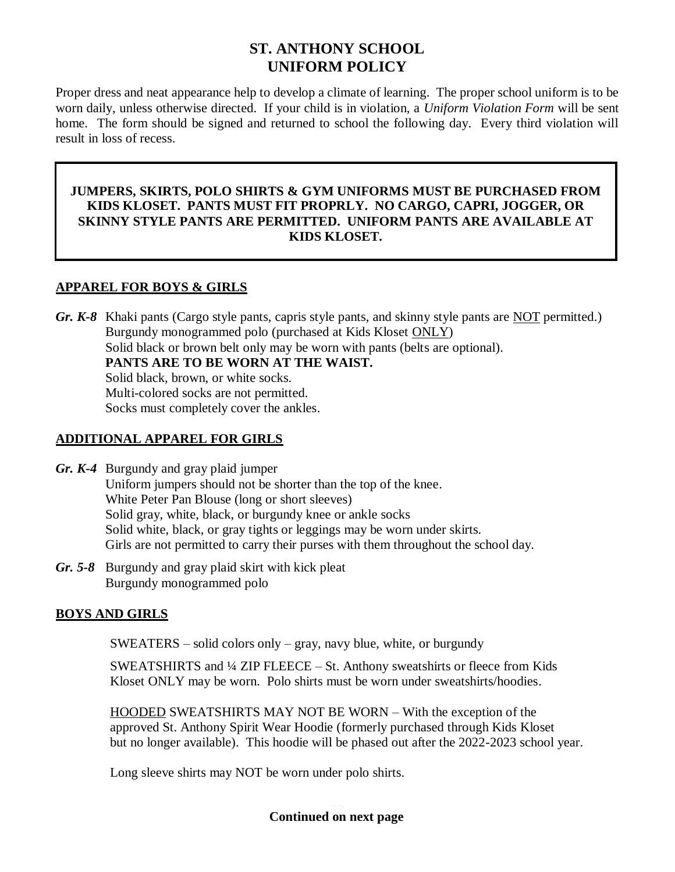# **ST. ANTHONY SCHOOL UNIFORM POLICY**

Proper dress and neat appearance help to develop a climate of learning. The proper school uniform is to be worn daily, unless otherwise directed. If your child is in violation, a *Uniform Violation Form* will be sent home. The form should be signed and returned to school the following day. Every third violation will result in loss of recess.

## **JUMPERS, SKIRTS, POLO SHIRTS & GYM UNIFORMS MUST BE PURCHASED FROM KIDS KLOSET. PANTS MUST FIT PROPRLY. NO CARGO, CAPRI, JOGGER, OR SKINNY STYLE PANTS ARE PERMITTED. UNIFORM PANTS ARE AVAILABLE AT KIDS KLOSET.**

# **APPAREL FOR BOYS & GIRLS**

*Gr. K-8* Khaki pants (Cargo style pants, capris style pants, and skinny style pants are NOT permitted.) Burgundy monogrammed polo (purchased at Kids Kloset ONLY) Solid black or brown belt only may be worn with pants (belts are optional). **PANTS ARE TO BE WORN AT THE WAIST.** Solid black, brown, or white socks. Multi-colored socks are not permitted. Socks must completely cover the ankles.

## **ADDITIONAL APPAREL FOR GIRLS**

- *Gr. K-4* Burgundy and gray plaid jumper Uniform jumpers should not be shorter than the top of the knee. White Peter Pan Blouse (long or short sleeves) Solid gray, white, black, or burgundy knee or ankle socks Solid white, black, or gray tights or leggings may be worn under skirts. Girls are not permitted to carry their purses with them throughout the school day.
- *Gr. 5-8* Burgundy and gray plaid skirt with kick pleat Burgundy monogrammed polo

## **BOYS AND GIRLS**

SWEATERS – solid colors only – gray, navy blue, white, or burgundy

SWEATSHIRTS and ¼ ZIP FLEECE – St. Anthony sweatshirts or fleece from Kids Kloset ONLY may be worn. Polo shirts must be worn under sweatshirts/hoodies.

HOODED SWEATSHIRTS MAY NOT BE WORN – With the exception of the approved St. Anthony Spirit Wear Hoodie (formerly purchased through Kids Kloset but no longer available). This hoodie will be phased out after the 2022-2023 school year.

Long sleeve shirts may NOT be worn under polo shirts.